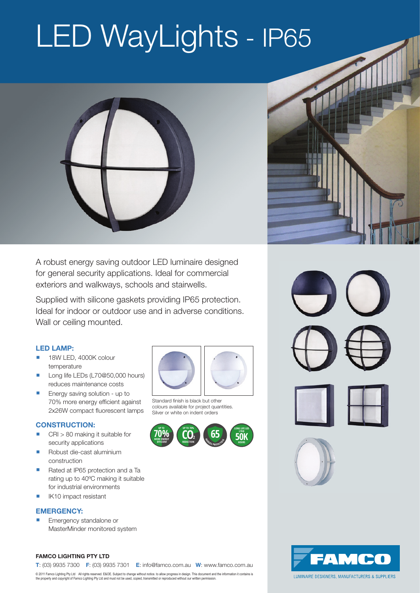# LED WayLights - IP65





A robust energy saving outdoor LED luminaire designed for general security applications. Ideal for commercial exteriors and walkways, schools and stairwells.

Supplied with silicone gaskets providing IP65 protection. Ideal for indoor or outdoor use and in adverse conditions. Wall or ceiling mounted.

### **LED LAMP:**

- 18W LED, 4000K colour temperature
- Long life LEDs (L70@50,000 hours) reduces maintenance costs
- Energy saving solution up to 70% more energy efficient against 2x26W compact fluorescent lamps

### **CONSTRUCTION:**

- CRI > 80 making it suitable for security applications
- Robust die-cast aluminium construction
- Rated at IP65 protection and a Ta rating up to 40ºC making it suitable for industrial environments
- IK10 impact resistant

### **EMERGENCY:**

 Emergency standalone or MasterMinder monitored system



Standard finish is black but other colours available for project quantities. Silver or white on indent orders







### **Famco Lighting Pty Ltd**



© 2011 Famco Lighting Pty Ltd \_ All rights reserved. E&OE. Subject to change without notice. to allow progress in design. This document and the information it contains is<br>the property and copyright of Famco Lighting Pty Lt